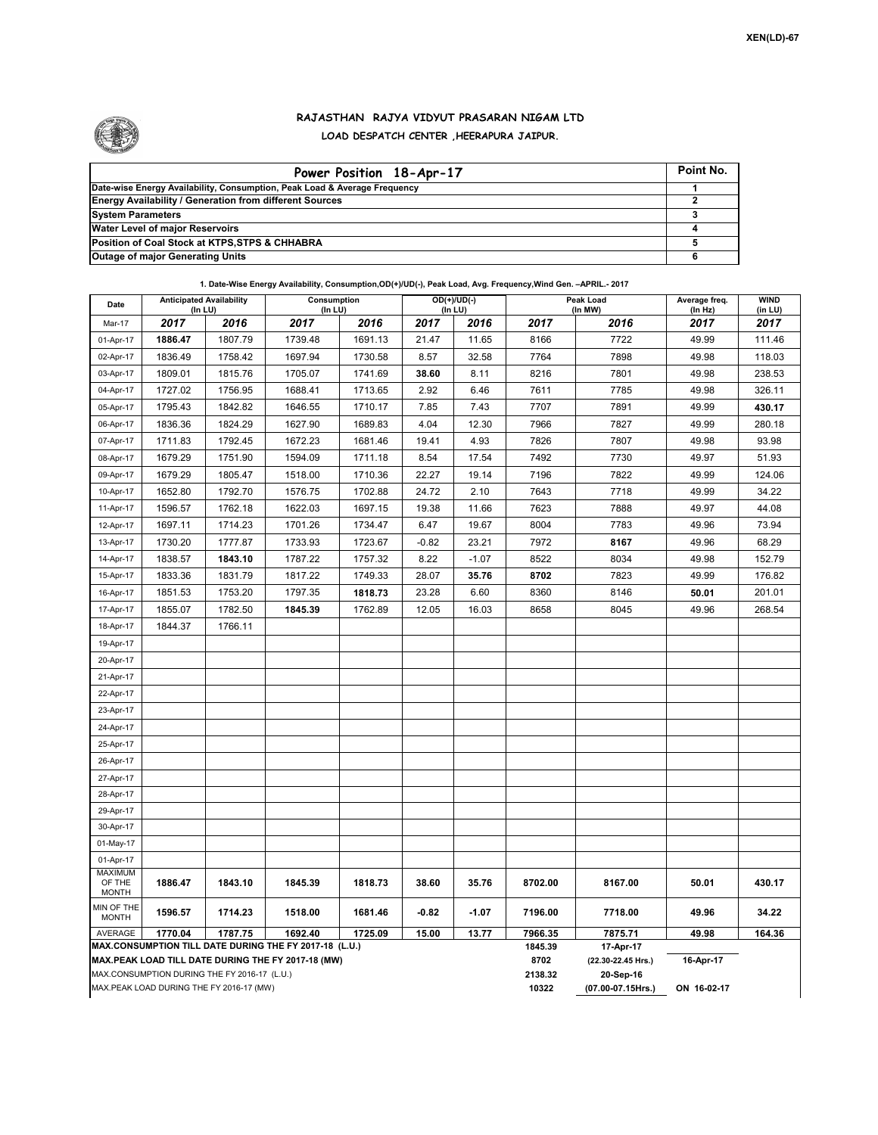

## **RAJASTHAN RAJYA VIDYUT PRASARAN NIGAM LTD LOAD DESPATCH CENTER ,HEERAPURA JAIPUR.**

| Power Position 18-Apr-17                                                  | Point No. |
|---------------------------------------------------------------------------|-----------|
| Date-wise Energy Availability, Consumption, Peak Load & Average Frequency |           |
| <b>Energy Availability / Generation from different Sources</b>            |           |
| <b>System Parameters</b>                                                  |           |
| <b>Water Level of major Reservoirs</b>                                    |           |
| Position of Coal Stock at KTPS, STPS & CHHABRA                            |           |
| <b>Outage of major Generating Units</b>                                   |           |

**1. Date-Wise Energy Availability, Consumption,OD(+)/UD(-), Peak Load, Avg. Frequency,Wind Gen. –APRIL.- 2017**

| Date                                                                                                         | <b>Anticipated Availability</b><br>(In LU)   |         | Consumption<br>$($ In LU $)$ |         | $OD(+)/UD(-)$<br>(In LU) |         |                    | Peak Load<br>(In MW)            | Average freq.<br>(In Hz) | <b>WIND</b><br>(in LU) |  |  |
|--------------------------------------------------------------------------------------------------------------|----------------------------------------------|---------|------------------------------|---------|--------------------------|---------|--------------------|---------------------------------|--------------------------|------------------------|--|--|
| Mar-17                                                                                                       | 2017                                         | 2016    | 2017                         | 2016    | 2017                     | 2016    | 2017               | 2016                            | 2017                     | 2017                   |  |  |
| 01-Apr-17                                                                                                    | 1886.47                                      | 1807.79 | 1739.48                      | 1691.13 | 21.47                    | 11.65   | 8166               | 7722                            | 49.99                    | 111.46                 |  |  |
| 02-Apr-17                                                                                                    | 1836.49                                      | 1758.42 | 1697.94                      | 1730.58 | 8.57                     | 32.58   | 7764               | 7898                            | 49.98                    | 118.03                 |  |  |
| 03-Apr-17                                                                                                    | 1809.01                                      | 1815.76 | 1705.07                      | 1741.69 | 38.60                    | 8.11    | 8216               | 7801                            | 49.98                    | 238.53                 |  |  |
| 04-Apr-17                                                                                                    | 1727.02                                      | 1756.95 | 1688.41                      | 1713.65 | 2.92                     | 6.46    | 7611               | 7785                            | 49.98                    | 326.11                 |  |  |
| 05-Apr-17                                                                                                    | 1795.43                                      | 1842.82 | 1646.55                      | 1710.17 | 7.85                     | 7.43    | 7707               | 7891                            | 49.99                    | 430.17                 |  |  |
| 06-Apr-17                                                                                                    | 1836.36                                      | 1824.29 | 1627.90                      | 1689.83 | 4.04                     | 12.30   | 7966               | 7827                            | 49.99                    | 280.18                 |  |  |
| 07-Apr-17                                                                                                    | 1711.83                                      | 1792.45 | 1672.23                      | 1681.46 | 19.41                    | 4.93    | 7826               | 7807                            | 49.98                    | 93.98                  |  |  |
| 08-Apr-17                                                                                                    | 1679.29                                      | 1751.90 | 1594.09                      | 1711.18 | 8.54                     | 17.54   | 7492               | 7730                            | 49.97                    | 51.93                  |  |  |
| 09-Apr-17                                                                                                    | 1679.29                                      | 1805.47 | 1518.00                      | 1710.36 | 22.27                    | 19.14   | 7196               | 7822                            | 49.99                    | 124.06                 |  |  |
| 10-Apr-17                                                                                                    | 1652.80                                      | 1792.70 | 1576.75                      | 1702.88 | 24.72                    | 2.10    | 7643               | 7718                            | 49.99                    | 34.22                  |  |  |
| 11-Apr-17                                                                                                    | 1596.57                                      | 1762.18 | 1622.03                      | 1697.15 | 19.38                    | 11.66   | 7623               | 7888                            | 49.97                    | 44.08                  |  |  |
| 12-Apr-17                                                                                                    | 1697.11                                      | 1714.23 | 1701.26                      | 1734.47 | 6.47                     | 19.67   | 8004               | 7783                            | 49.96                    | 73.94                  |  |  |
| 13-Apr-17                                                                                                    | 1730.20                                      | 1777.87 | 1733.93                      | 1723.67 | $-0.82$                  | 23.21   | 7972               | 8167                            | 49.96                    | 68.29                  |  |  |
| 14-Apr-17                                                                                                    | 1838.57                                      | 1843.10 | 1787.22                      | 1757.32 | 8.22                     | $-1.07$ | 8522               | 8034                            | 49.98                    | 152.79                 |  |  |
| 15-Apr-17                                                                                                    | 1833.36                                      | 1831.79 | 1817.22                      | 1749.33 | 28.07                    | 35.76   | 8702               | 7823                            | 49.99                    | 176.82                 |  |  |
| 16-Apr-17                                                                                                    | 1851.53                                      | 1753.20 | 1797.35                      | 1818.73 | 23.28                    | 6.60    | 8360               | 8146                            | 50.01                    | 201.01                 |  |  |
| 17-Apr-17                                                                                                    | 1855.07                                      | 1782.50 | 1845.39                      | 1762.89 | 12.05                    | 16.03   | 8658               | 8045                            | 49.96                    | 268.54                 |  |  |
| 18-Apr-17                                                                                                    | 1844.37                                      | 1766.11 |                              |         |                          |         |                    |                                 |                          |                        |  |  |
| 19-Apr-17                                                                                                    |                                              |         |                              |         |                          |         |                    |                                 |                          |                        |  |  |
| 20-Apr-17                                                                                                    |                                              |         |                              |         |                          |         |                    |                                 |                          |                        |  |  |
| 21-Apr-17                                                                                                    |                                              |         |                              |         |                          |         |                    |                                 |                          |                        |  |  |
| 22-Apr-17                                                                                                    |                                              |         |                              |         |                          |         |                    |                                 |                          |                        |  |  |
| 23-Apr-17                                                                                                    |                                              |         |                              |         |                          |         |                    |                                 |                          |                        |  |  |
| 24-Apr-17                                                                                                    |                                              |         |                              |         |                          |         |                    |                                 |                          |                        |  |  |
| 25-Apr-17                                                                                                    |                                              |         |                              |         |                          |         |                    |                                 |                          |                        |  |  |
| 26-Apr-17                                                                                                    |                                              |         |                              |         |                          |         |                    |                                 |                          |                        |  |  |
| 27-Apr-17                                                                                                    |                                              |         |                              |         |                          |         |                    |                                 |                          |                        |  |  |
| 28-Apr-17                                                                                                    |                                              |         |                              |         |                          |         |                    |                                 |                          |                        |  |  |
| 29-Apr-17                                                                                                    |                                              |         |                              |         |                          |         |                    |                                 |                          |                        |  |  |
| 30-Apr-17                                                                                                    |                                              |         |                              |         |                          |         |                    |                                 |                          |                        |  |  |
| 01-May-17                                                                                                    |                                              |         |                              |         |                          |         |                    |                                 |                          |                        |  |  |
| 01-Apr-17                                                                                                    |                                              |         |                              |         |                          |         |                    |                                 |                          |                        |  |  |
| <b>MAXIMUM</b><br>OF THE<br><b>MONTH</b>                                                                     | 1886.47                                      | 1843.10 | 1845.39                      | 1818.73 | 38.60                    | 35.76   | 8702.00            | 8167.00                         | 50.01                    | 430.17                 |  |  |
| MIN OF THE<br><b>MONTH</b>                                                                                   | 1596.57                                      | 1714.23 | 1518.00                      | 1681.46 | $-0.82$                  | $-1.07$ | 7196.00            | 7718.00                         | 49.96                    | 34.22                  |  |  |
| AVERAGE                                                                                                      | 1770.04                                      | 1787.75 | 1692.40                      | 1725.09 | 15.00                    | 13.77   | 7966.35<br>1845.39 | 7875.71                         | 49.98                    | 164.36                 |  |  |
| MAX.CONSUMPTION TILL DATE DURING THE FY 2017-18 (L.U.)<br>MAX.PEAK LOAD TILL DATE DURING THE FY 2017-18 (MW) |                                              |         |                              |         |                          |         |                    | 17-Apr-17                       |                          |                        |  |  |
|                                                                                                              | MAX.CONSUMPTION DURING THE FY 2016-17 (L.U.) |         |                              |         |                          |         | 8702<br>2138.32    | (22.30-22.45 Hrs.)<br>20-Sep-16 | 16-Apr-17                |                        |  |  |
| MAX.PEAK LOAD DURING THE FY 2016-17 (MW)                                                                     |                                              |         |                              |         |                          |         | 10322              | (07.00-07.15Hrs.)               | ON 16-02-17              |                        |  |  |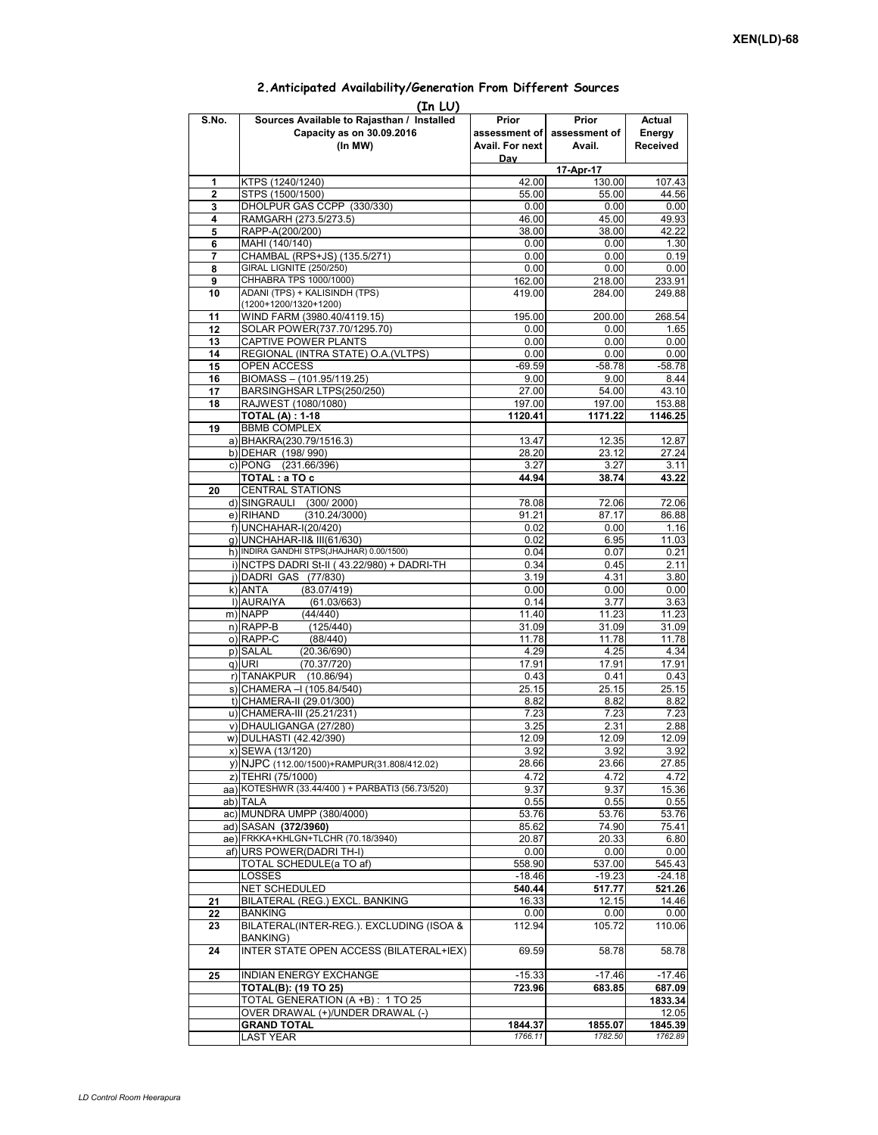|                | (In LU)                                         |                 |               |          |  |  |  |  |
|----------------|-------------------------------------------------|-----------------|---------------|----------|--|--|--|--|
| S.No.          | Sources Available to Rajasthan / Installed      | Prior           | Prior         | Actual   |  |  |  |  |
|                | Capacity as on 30.09.2016                       | assessment of   | assessment of | Energy   |  |  |  |  |
|                | (In MW)                                         | Avail. For next | Avail.        | Received |  |  |  |  |
|                |                                                 | Day             |               |          |  |  |  |  |
|                |                                                 | 17-Apr-17       |               |          |  |  |  |  |
| 1              | KTPS (1240/1240)                                | 42.00           | 130.00        | 107.43   |  |  |  |  |
| $\mathbf{2}$   | STPS (1500/1500)                                | 55.00           | 55.00         | 44.56    |  |  |  |  |
| 3              | DHOLPUR GAS CCPP (330/330)                      | 0.00            | 0.00          | 0.00     |  |  |  |  |
| 4              | RAMGARH (273.5/273.5)                           | 46.00           | 45.00         | 49.93    |  |  |  |  |
|                |                                                 |                 |               |          |  |  |  |  |
| 5              | RAPP-A(200/200)                                 | 38.00           | 38.00         | 42.22    |  |  |  |  |
| 6              | MAHI (140/140)                                  | 0.00            | 0.00          | 1.30     |  |  |  |  |
| $\overline{7}$ | CHAMBAL (RPS+JS) (135.5/271)                    | 0.00            | 0.00          | 0.19     |  |  |  |  |
| 8              | <b>GIRAL LIGNITE (250/250)</b>                  | 0.00            | 0.00          | 0.00     |  |  |  |  |
| 9              | CHHABRA TPS 1000/1000)                          | 162.00          | 218.00        | 233.91   |  |  |  |  |
| 10             | ADANI (TPS) + KALISINDH (TPS)                   | 419.00          | 284.00        | 249.88   |  |  |  |  |
|                | (1200+1200/1320+1200)                           |                 |               |          |  |  |  |  |
| 11             | WIND FARM (3980.40/4119.15)                     | 195.00          | 200.00        | 268.54   |  |  |  |  |
| 12             | SOLAR POWER(737.70/1295.70)                     | 0.00            | 0.00          | 1.65     |  |  |  |  |
| 13             | CAPTIVE POWER PLANTS                            | 0.00            | 0.00          | 0.00     |  |  |  |  |
| 14             | REGIONAL (INTRA STATE) O.A. (VLTPS)             | 0.00            | 0.00          | 0.00     |  |  |  |  |
| 15             | <b>OPEN ACCESS</b>                              | $-69.59$        | $-58.78$      | $-58.78$ |  |  |  |  |
| 16             | BIOMASS - (101.95/119.25)                       | 9.00            | 9.00          | 8.44     |  |  |  |  |
| 17             | BARSINGHSAR LTPS(250/250)                       | 27.00           | 54.00         | 43.10    |  |  |  |  |
| 18             | RAJWEST (1080/1080)                             | 197.00          | 197.00        | 153.88   |  |  |  |  |
|                |                                                 |                 |               |          |  |  |  |  |
|                | <b>TOTAL (A): 1-18</b>                          | 1120.41         | 1171.22       | 1146.25  |  |  |  |  |
| 19             | <b>BBMB COMPLEX</b>                             |                 |               |          |  |  |  |  |
|                | a) BHAKRA(230.79/1516.3)                        | 13.47           | 12.35         | 12.87    |  |  |  |  |
|                | b) DEHAR (198/990)                              | 28.20           | 23.12         | 27.24    |  |  |  |  |
|                | c) PONG (231.66/396)                            | 3.27            | 3.27          | 3.11     |  |  |  |  |
|                | TOTAL: a TO c                                   | 44.94           | 38.74         | 43.22    |  |  |  |  |
| 20             | <b>CENTRAL STATIONS</b>                         |                 |               |          |  |  |  |  |
|                | d) SINGRAULI (300/2000)                         | 78.08           | 72.06         | 72.06    |  |  |  |  |
|                | (310.24/3000)<br>e) RIHAND                      | 91.21           | 87.17         | 86.88    |  |  |  |  |
|                | f) UNCHAHAR-I(20/420)                           | 0.02            | 0.00          | 1.16     |  |  |  |  |
|                | q) UNCHAHAR-II& III(61/630)                     | 0.02            | 6.95          | 11.03    |  |  |  |  |
|                | h) INDIRA GANDHI STPS(JHAJHAR) 0.00/1500)       | 0.04            | 0.07          | 0.21     |  |  |  |  |
|                |                                                 | 0.34            | 0.45          | 2.11     |  |  |  |  |
|                | i) NCTPS DADRI St-II (43.22/980) + DADRI-TH     |                 |               |          |  |  |  |  |
|                | j) DADRI GAS (77/830)                           | 3.19            | 4.31          | 3.80     |  |  |  |  |
|                | k) ANTA<br>(83.07/419)                          | 0.00            | 0.00          | 0.00     |  |  |  |  |
|                | I) AURAIYA<br>(61.03/663)                       | 0.14            | 3.77          | 3.63     |  |  |  |  |
|                | m) NAPP<br>(44/440)                             | 11.40           | 11.23         | 11.23    |  |  |  |  |
|                | n) RAPP-B<br>(125/440)                          | 31.09           | 31.09         | 31.09    |  |  |  |  |
|                | o) RAPP-C<br>(88/440)                           | 11.78           | 11.78         | 11.78    |  |  |  |  |
|                | p) SALAL<br>(20.36/690)                         | 4.29            | 4.25          | 4.34     |  |  |  |  |
|                | q) URI<br>(70.37/720)                           | 17.91           | 17.91         | 17.91    |  |  |  |  |
|                | r) TANAKPUR (10.86/94)                          | 0.43            | 0.41          | 0.43     |  |  |  |  |
|                | s) CHAMERA - (105.84/540)                       | 25.15           | 25.15         | 25.15    |  |  |  |  |
|                | t) CHAMERA-II (29.01/300)                       | 8.82            | 8.82          | 8.82     |  |  |  |  |
|                | u) CHAMERA-III (25.21/231)                      | 7.23            | 7.23          | 7.23     |  |  |  |  |
|                | v) DHAULIGANGA (27/280)                         | 3.25            | 2.31          | 2.88     |  |  |  |  |
|                | w) DULHASTI (42.42/390)                         | 12.09           | 12.09         | 12.09    |  |  |  |  |
|                | x) SEWA (13/120)                                | 3.92            | 3.92          | 3.92     |  |  |  |  |
|                |                                                 |                 |               |          |  |  |  |  |
|                | y) NJPC (112.00/1500) + RAMPUR(31.808/412.02)   | 28.66           | 23.66         | 27.85    |  |  |  |  |
|                | z) TEHRI (75/1000)                              | 4.72            | 4.72          | 4.72     |  |  |  |  |
|                | aa) KOTESHWR (33.44/400) + PARBATI3 (56.73/520) | 9.37            | 9.37          | 15.36    |  |  |  |  |
|                | ab) TALA                                        | 0.55            | 0.55          | 0.55     |  |  |  |  |
|                | ac) MUNDRA UMPP (380/4000)                      | 53.76           | 53.76         | 53.76    |  |  |  |  |
|                | ad) SASAN (372/3960)                            | 85.62           | 74.90         | 75.41    |  |  |  |  |
|                | ae) FRKKA+KHLGN+TLCHR (70.18/3940)              | 20.87           | 20.33         | 6.80     |  |  |  |  |
|                | af) URS POWER(DADRI TH-I)                       | 0.00            | 0.00          | 0.00     |  |  |  |  |
|                | TOTAL SCHEDULE(a TO af)                         | 558.90          | 537.00        | 545.43   |  |  |  |  |
|                | LOSSES                                          | $-18.46$        | $-19.23$      | $-24.18$ |  |  |  |  |
|                | NET SCHEDULED                                   | 540.44          | 517.77        | 521.26   |  |  |  |  |
| 21             | BILATERAL (REG.) EXCL. BANKING                  | 16.33           | 12.15         | 14.46    |  |  |  |  |
| 22             | <b>BANKING</b>                                  | 0.00            | 0.00          | 0.00     |  |  |  |  |
| 23             | BILATERAL(INTER-REG.). EXCLUDING (ISOA &        | 112.94          | 105.72        |          |  |  |  |  |
|                |                                                 |                 |               | 110.06   |  |  |  |  |
|                | <b>BANKING)</b>                                 |                 |               |          |  |  |  |  |
| 24             | INTER STATE OPEN ACCESS (BILATERAL+IEX)         | 69.59           | 58.78         | 58.78    |  |  |  |  |
|                |                                                 |                 |               |          |  |  |  |  |
| 25             | INDIAN ENERGY EXCHANGE                          | $-15.33$        | $-17.46$      | $-17.46$ |  |  |  |  |
|                | <b>TOTAL(B): (19 TO 25)</b>                     | 723.96          | 683.85        | 687.09   |  |  |  |  |
|                | TOTAL GENERATION (A +B): 1 TO 25                |                 |               | 1833.34  |  |  |  |  |
|                | OVER DRAWAL (+)/UNDER DRAWAL (-)                |                 |               | 12.05    |  |  |  |  |
|                | <b>GRAND TOTAL</b>                              | 1844.37         | 1855.07       | 1845.39  |  |  |  |  |
|                | LAST YEAR                                       | 1766.11         | 1782.50       | 1762.89  |  |  |  |  |

## **2.Anticipated Availability/Generation From Different Sources**